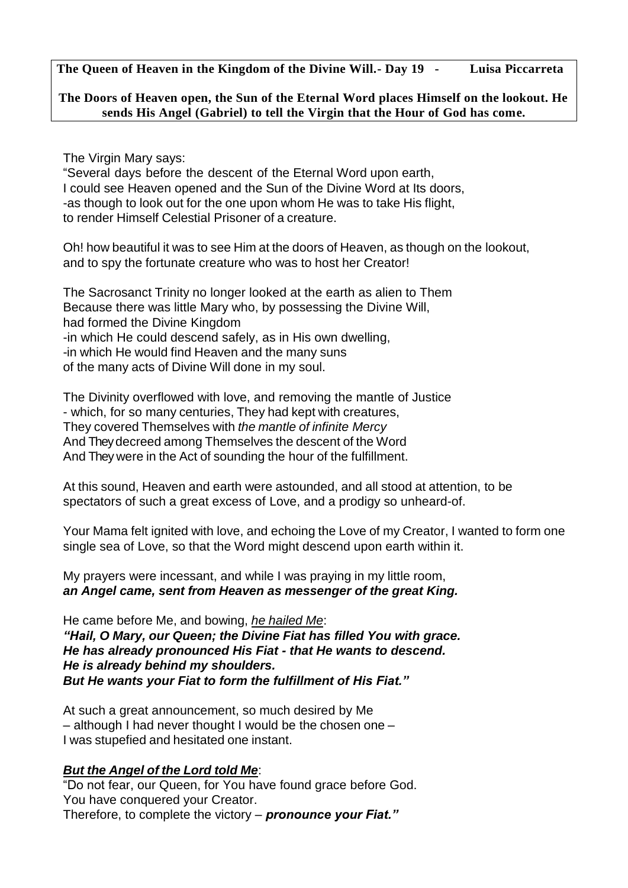**The Queen of Heaven in the Kingdom of the Divine Will.- Day 19 - Luisa Piccarreta**

## **The Doors of Heaven open, the Sun of the Eternal Word places Himself on the lookout. He sends His Angel (Gabriel) to tell the Virgin that the Hour of God has come.**

The Virgin Mary says:

"Several days before the descent of the Eternal Word upon earth, I could see Heaven opened and the Sun of the Divine Word at Its doors, -as though to look out for the one upon whom He was to take His flight, to render Himself Celestial Prisoner of a creature.

Oh! how beautiful it was to see Him at the doors of Heaven, as though on the lookout, and to spy the fortunate creature who was to host her Creator!

The Sacrosanct Trinity no longer looked at the earth as alien to Them Because there was little Mary who, by possessing the Divine Will, had formed the Divine Kingdom -in which He could descend safely, as in His own dwelling, -in which He would find Heaven and the many suns of the many acts of Divine Will done in my soul.

The Divinity overflowed with love, and removing the mantle of Justice - which, for so many centuries, They had kept with creatures, They covered Themselves with *the mantle of infinite Mercy* And They decreed among Themselves the descent of the Word And They were in the Act of sounding the hour of the fulfillment.

At this sound, Heaven and earth were astounded, and all stood at attention, to be spectators of such a great excess of Love, and a prodigy so unheard-of.

Your Mama felt ignited with love, and echoing the Love of my Creator, I wanted to form one single sea of Love, so that the Word might descend upon earth within it.

My prayers were incessant, and while I was praying in my little room, *an Angel came, sent from Heaven as messenger of the great King.*

He came before Me, and bowing, *he hailed Me*: *"Hail, O Mary, our Queen; the Divine Fiat has filled You with grace. He has already pronounced His Fiat - that He wants to descend. He is already behind my shoulders. But He wants your Fiat to form the fulfillment of His Fiat."*

At such a great announcement, so much desired by Me – although I had never thought I would be the chosen one – I was stupefied and hesitated one instant.

## *But the Angel of the Lord told Me*:

"Do not fear, our Queen, for You have found grace before God. You have conquered your Creator. Therefore, to complete the victory – *pronounce your Fiat."*